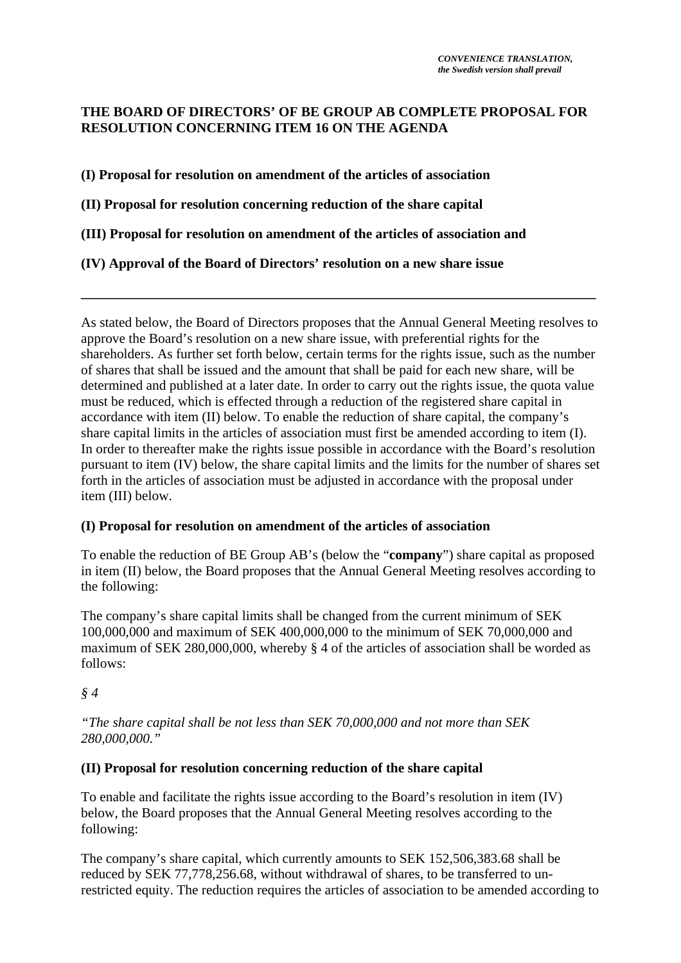# **THE BOARD OF DIRECTORS' OF BE GROUP AB COMPLETE PROPOSAL FOR RESOLUTION CONCERNING ITEM 16 ON THE AGENDA**

**(I) Proposal for resolution on amendment of the articles of association**

**(II) Proposal for resolution concerning reduction of the share capital**

**(III) Proposal for resolution on amendment of the articles of association and**

**(IV) Approval of the Board of Directors' resolution on a new share issue** 

As stated below, the Board of Directors proposes that the Annual General Meeting resolves to approve the Board's resolution on a new share issue, with preferential rights for the shareholders. As further set forth below, certain terms for the rights issue, such as the number of shares that shall be issued and the amount that shall be paid for each new share, will be determined and published at a later date. In order to carry out the rights issue, the quota value must be reduced, which is effected through a reduction of the registered share capital in accordance with item (II) below. To enable the reduction of share capital, the company's share capital limits in the articles of association must first be amended according to item (I). In order to thereafter make the rights issue possible in accordance with the Board's resolution pursuant to item (IV) below, the share capital limits and the limits for the number of shares set forth in the articles of association must be adjusted in accordance with the proposal under item (III) below.

**\_\_\_\_\_\_\_\_\_\_\_\_\_\_\_\_\_\_\_\_\_\_\_\_\_\_\_\_\_\_\_\_\_\_\_\_\_\_\_\_\_\_\_\_\_\_\_\_\_\_\_\_\_\_\_\_\_\_\_\_\_\_\_\_\_\_\_\_\_\_\_\_\_\_\_** 

# **(I) Proposal for resolution on amendment of the articles of association**

To enable the reduction of BE Group AB's (below the "**company**") share capital as proposed in item (II) below, the Board proposes that the Annual General Meeting resolves according to the following:

The company's share capital limits shall be changed from the current minimum of SEK 100,000,000 and maximum of SEK 400,000,000 to the minimum of SEK 70,000,000 and maximum of SEK 280,000,000, whereby § 4 of the articles of association shall be worded as follows:

### *§ 4*

*"The share capital shall be not less than SEK 70,000,000 and not more than SEK 280,000,000."* 

### **(II) Proposal for resolution concerning reduction of the share capital**

To enable and facilitate the rights issue according to the Board's resolution in item (IV) below, the Board proposes that the Annual General Meeting resolves according to the following:

The company's share capital, which currently amounts to SEK 152,506,383.68 shall be reduced by SEK 77,778,256.68, without withdrawal of shares, to be transferred to unrestricted equity. The reduction requires the articles of association to be amended according to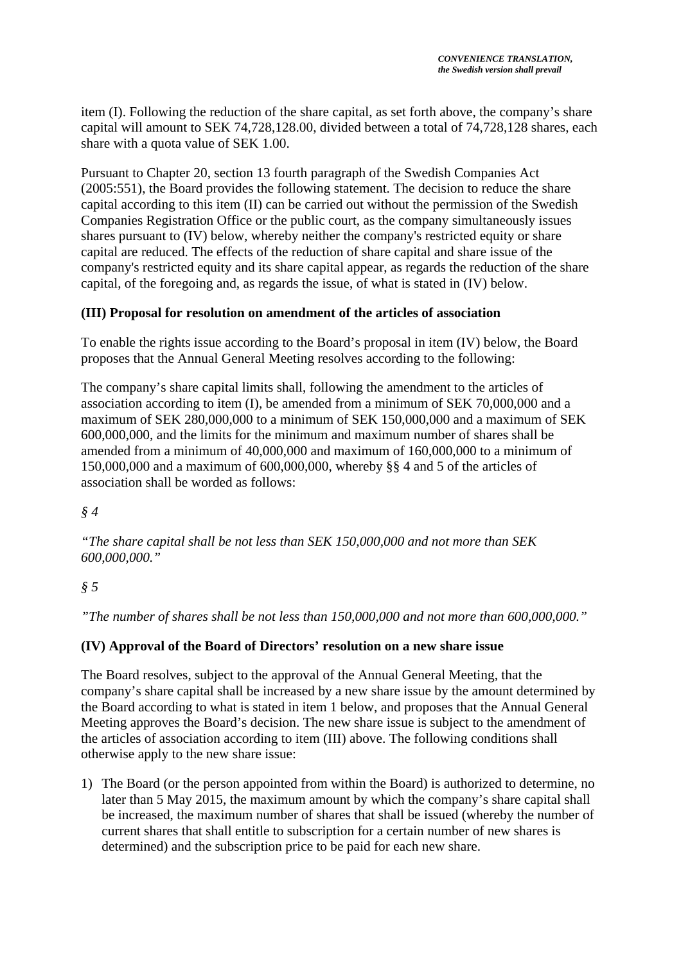item (I). Following the reduction of the share capital, as set forth above, the company's share capital will amount to SEK 74,728,128.00, divided between a total of 74,728,128 shares, each share with a quota value of SEK 1.00.

Pursuant to Chapter 20, section 13 fourth paragraph of the Swedish Companies Act (2005:551), the Board provides the following statement. The decision to reduce the share capital according to this item (II) can be carried out without the permission of the Swedish Companies Registration Office or the public court, as the company simultaneously issues shares pursuant to (IV) below, whereby neither the company's restricted equity or share capital are reduced. The effects of the reduction of share capital and share issue of the company's restricted equity and its share capital appear, as regards the reduction of the share capital, of the foregoing and, as regards the issue, of what is stated in (IV) below.

### **(III) Proposal for resolution on amendment of the articles of association**

To enable the rights issue according to the Board's proposal in item (IV) below, the Board proposes that the Annual General Meeting resolves according to the following:

The company's share capital limits shall, following the amendment to the articles of association according to item (I), be amended from a minimum of SEK 70,000,000 and a maximum of SEK 280,000,000 to a minimum of SEK 150,000,000 and a maximum of SEK 600,000,000, and the limits for the minimum and maximum number of shares shall be amended from a minimum of 40,000,000 and maximum of 160,000,000 to a minimum of 150,000,000 and a maximum of 600,000,000, whereby §§ 4 and 5 of the articles of association shall be worded as follows:

## *§ 4*

*"The share capital shall be not less than SEK 150,000,000 and not more than SEK 600,000,000."* 

# *§ 5*

*"The number of shares shall be not less than 150,000,000 and not more than 600,000,000."* 

### **(IV) Approval of the Board of Directors' resolution on a new share issue**

The Board resolves, subject to the approval of the Annual General Meeting, that the company's share capital shall be increased by a new share issue by the amount determined by the Board according to what is stated in item 1 below, and proposes that the Annual General Meeting approves the Board's decision. The new share issue is subject to the amendment of the articles of association according to item (III) above. The following conditions shall otherwise apply to the new share issue:

1) The Board (or the person appointed from within the Board) is authorized to determine, no later than 5 May 2015, the maximum amount by which the company's share capital shall be increased, the maximum number of shares that shall be issued (whereby the number of current shares that shall entitle to subscription for a certain number of new shares is determined) and the subscription price to be paid for each new share.